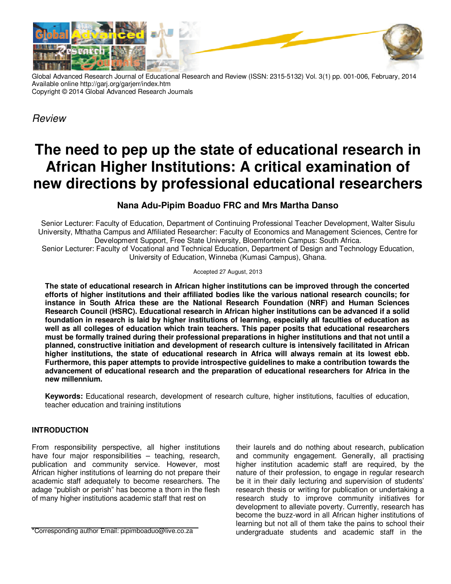

Global Advanced Research Journal of Educational Research and Review (ISSN: 2315-5132) Vol. 3(1) pp. 001-006, February, 2014 Available online http://garj.org/garjerr/index.htm Copyright © 2014 Global Advanced Research Journals

*Review*

# **The need to pep up the state of educational research in African Higher Institutions: A critical examination of new directions by professional educational researchers**

## **Nana Adu-Pipim Boaduo FRC and Mrs Martha Danso**

Senior Lecturer: Faculty of Education, Department of Continuing Professional Teacher Development, Walter Sisulu University, Mthatha Campus and Affiliated Researcher: Faculty of Economics and Management Sciences, Centre for Development Support, Free State University, Bloemfontein Campus: South Africa.

Senior Lecturer: Faculty of Vocational and Technical Education, Department of Design and Technology Education, University of Education, Winneba (Kumasi Campus), Ghana.

#### Accepted 27 August, 2013

**The state of educational research in African higher institutions can be improved through the concerted efforts of higher institutions and their affiliated bodies like the various national research councils; for instance in South Africa these are the National Research Foundation (NRF) and Human Sciences Research Council (HSRC). Educational research in African higher institutions can be advanced if a solid foundation in research is laid by higher institutions of learning, especially all faculties of education as well as all colleges of education which train teachers. This paper posits that educational researchers must be formally trained during their professional preparations in higher institutions and that not until a planned, constructive initiation and development of research culture is intensively facilitated in African higher institutions, the state of educational research in Africa will always remain at its lowest ebb. Furthermore, this paper attempts to provide introspective guidelines to make a contribution towards the advancement of educational research and the preparation of educational researchers for Africa in the new millennium.** 

**Keywords:** Educational research, development of research culture, higher institutions, faculties of education, teacher education and training institutions

### **INTRODUCTION**

From responsibility perspective, all higher institutions have four major responsibilities – teaching, research, publication and community service. However, most African higher institutions of learning do not prepare their academic staff adequately to become researchers. The adage "publish or perish" has become a thorn in the flesh of many higher institutions academic staff that rest on

\*Corresponding author Email: pipimboaduo@live.co.za

their laurels and do nothing about research, publication and community engagement. Generally, all practising higher institution academic staff are required, by the nature of their profession, to engage in regular research be it in their daily lecturing and supervision of students' research thesis or writing for publication or undertaking a research study to improve community initiatives for development to alleviate poverty. Currently, research has become the buzz-word in all African higher institutions of learning but not all of them take the pains to school their undergraduate students and academic staff in the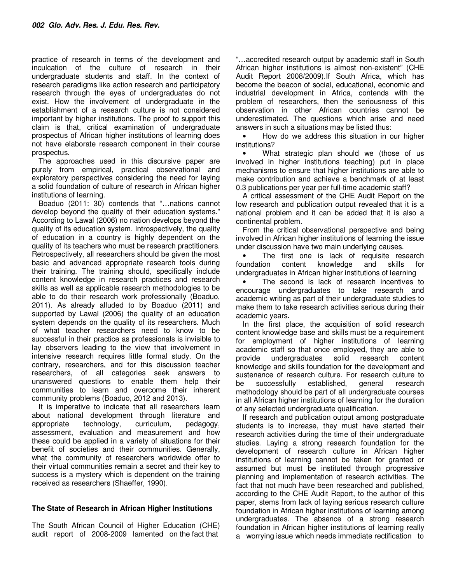practice of research in terms of the development and inculcation of the culture of research in their undergraduate students and staff. In the context of research paradigms like action research and participatory research through the eyes of undergraduates do not exist. How the involvement of undergraduate in the establishment of a research culture is not considered important by higher institutions. The proof to support this claim is that, critical examination of undergraduate prospectus of African higher institutions of learning does not have elaborate research component in their course prospectus.

The approaches used in this discursive paper are purely from empirical, practical observational and exploratory perspectives considering the need for laying a solid foundation of culture of research in African higher institutions of learning.

Boaduo (2011: 30) contends that "…nations cannot develop beyond the quality of their education systems." According to Lawal (2006) no nation develops beyond the quality of its education system. Introspectively, the quality of education in a country is highly dependent on the quality of its teachers who must be research practitioners. Retrospectively, all researchers should be given the most basic and advanced appropriate research tools during their training. The training should, specifically include content knowledge in research practices and research skills as well as applicable research methodologies to be able to do their research work professionally (Boaduo, 2011). As already alluded to by Boaduo (2011) and supported by Lawal (2006) the quality of an education system depends on the quality of its researchers. Much of what teacher researchers need to know to be successful in their practice as professionals is invisible to lay observers leading to the view that involvement in intensive research requires little formal study. On the contrary, researchers, and for this discussion teacher researchers, of all categories seek answers to unanswered questions to enable them help their communities to learn and overcome their inherent community problems (Boaduo, 2012 and 2013).

It is imperative to indicate that all researchers learn about national development through literature and appropriate technology, curriculum, pedagogy, assessment, evaluation and measurement and how these could be applied in a variety of situations for their benefit of societies and their communities. Generally, what the community of researchers worldwide offer to their virtual communities remain a secret and their key to success is a mystery which is dependent on the training received as researchers (Shaeffer, 1990).

### **The State of Research in African Higher Institutions**

The South African Council of Higher Education (CHE) audit report of 2008-2009 lamented on the fact that

"…accredited research output by academic staff in South African higher institutions is almost non-existent" (CHE Audit Report 2008/2009).If South Africa, which has become the beacon of social, educational, economic and industrial development in Africa, contends with the problem of researchers, then the seriousness of this observation in other African countries cannot be underestimated. The questions which arise and need answers in such a situations may be listed thus:

• How do we address this situation in our higher institutions?

What strategic plan should we (those of us involved in higher institutions teaching) put in place mechanisms to ensure that higher institutions are able to make contribution and achieve a benchmark of at least 0.3 publications per year per full-time academic staff?

A critical assessment of the CHE Audit Report on the low research and publication output revealed that it is a national problem and it can be added that it is also a continental problem.

From the critical observational perspective and being involved in African higher institutions of learning the issue under discussion have two main underlying causes.

The first one is lack of requisite research foundation content knowledge and skills for undergraduates in African higher institutions of learning

• The second is lack of research incentives to encourage undergraduates to take research and academic writing as part of their undergraduate studies to make them to take research activities serious during their academic years.

In the first place, the acquisition of solid research content knowledge base and skills must be a requirement for employment of higher institutions of learning academic staff so that once employed, they are able to provide undergraduates solid research content knowledge and skills foundation for the development and sustenance of research culture. For research culture to be successfully established, general research methodology should be part of all undergraduate courses in all African higher institutions of learning for the duration of any selected undergraduate qualification.

If research and publication output among postgraduate students is to increase, they must have started their research activities during the time of their undergraduate studies. Laying a strong research foundation for the development of research culture in African higher institutions of learning cannot be taken for granted or assumed but must be instituted through progressive planning and implementation of research activities. The fact that not much have been researched and published, according to the CHE Audit Report, to the author of this paper, stems from lack of laying serious research culture foundation in African higher institutions of learning among undergraduates. The absence of a strong research foundation in African higher institutions of learning really a worrying issue which needs immediate rectification to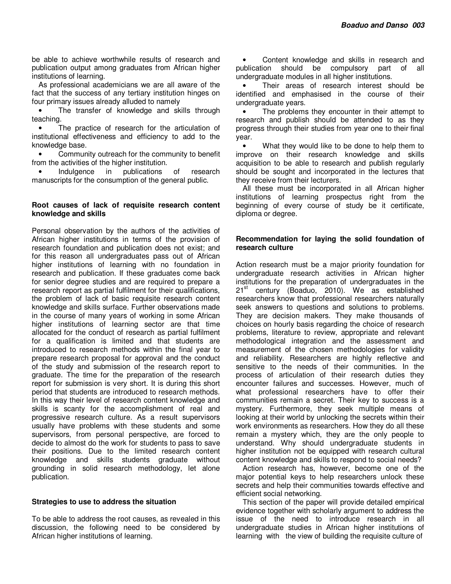be able to achieve worthwhile results of research and publication output among graduates from African higher institutions of learning.

As professional academicians we are all aware of the fact that the success of any tertiary institution hinges on four primary issues already alluded to namely

• The transfer of knowledge and skills through teaching.

• The practice of research for the articulation of institutional effectiveness and efficiency to add to the knowledge base.

• Community outreach for the community to benefit from the activities of the higher institution.

• Indulgence in publications of research manuscripts for the consumption of the general public.

#### **Root causes of lack of requisite research content knowledge and skills**

Personal observation by the authors of the activities of African higher institutions in terms of the provision of research foundation and publication does not exist; and for this reason all undergraduates pass out of African higher institutions of learning with no foundation in research and publication. If these graduates come back for senior degree studies and are required to prepare a research report as partial fulfilment for their qualifications, the problem of lack of basic requisite research content knowledge and skills surface. Further observations made in the course of many years of working in some African higher institutions of learning sector are that time allocated for the conduct of research as partial fulfilment for a qualification is limited and that students are introduced to research methods within the final year to prepare research proposal for approval and the conduct of the study and submission of the research report to graduate. The time for the preparation of the research report for submission is very short. It is during this short period that students are introduced to research methods. In this way their level of research content knowledge and skills is scanty for the accomplishment of real and progressive research culture. As a result supervisors usually have problems with these students and some supervisors, from personal perspective, are forced to decide to almost do the work for students to pass to save their positions. Due to the limited research content knowledge and skills students graduate without grounding in solid research methodology, let alone publication.

#### **Strategies to use to address the situation**

To be able to address the root causes, as revealed in this discussion, the following need to be considered by African higher institutions of learning.

• Content knowledge and skills in research and publication should be compulsory part of all undergraduate modules in all higher institutions.

Their areas of research interest should be identified and emphasised in the course of their undergraduate years.

• The problems they encounter in their attempt to research and publish should be attended to as they progress through their studies from year one to their final year.

What they would like to be done to help them to improve on their research knowledge and skills acquisition to be able to research and publish regularly should be sought and incorporated in the lectures that they receive from their lecturers.

All these must be incorporated in all African higher institutions of learning prospectus right from the beginning of every course of study be it certificate, diploma or degree.

#### **Recommendation for laying the solid foundation of research culture**

Action research must be a major priority foundation for undergraduate research activities in African higher institutions for the preparation of undergraduates in the 21<sup>st</sup> century (Boaduo, 2010). We as established researchers know that professional researchers naturally seek answers to questions and solutions to problems. They are decision makers. They make thousands of choices on hourly basis regarding the choice of research problems, literature to review, appropriate and relevant methodological integration and the assessment and measurement of the chosen methodologies for validity and reliability. Researchers are highly reflective and sensitive to the needs of their communities. In the process of articulation of their research duties they encounter failures and successes. However, much of what professional researchers have to offer their communities remain a secret. Their key to success is a mystery. Furthermore, they seek multiple means of looking at their world by unlocking the secrets within their work environments as researchers. How they do all these remain a mystery which, they are the only people to understand. Why should undergraduate students in higher institution not be equipped with research cultural content knowledge and skills to respond to social needs?

Action research has, however, become one of the major potential keys to help researchers unlock these secrets and help their communities towards effective and efficient social networking.

This section of the paper will provide detailed empirical evidence together with scholarly argument to address the issue of the need to introduce research in all undergraduate studies in African higher institutions of learning with the view of building the requisite culture of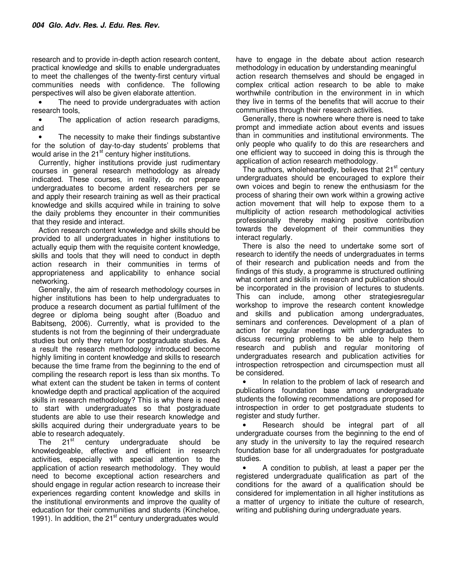research and to provide in-depth action research content, practical knowledge and skills to enable undergraduates to meet the challenges of the twenty-first century virtual communities needs with confidence. The following perspectives will also be given elaborate attention.

The need to provide undergraduates with action research tools,

• The application of action research paradigms, and

• The necessity to make their findings substantive for the solution of day-to-day students' problems that would arise in the  $21<sup>st</sup>$  century higher institutions.

Currently, higher institutions provide just rudimentary courses in general research methodology as already indicated. These courses, in reality, do not prepare undergraduates to become ardent researchers per se and apply their research training as well as their practical knowledge and skills acquired while in training to solve the daily problems they encounter in their communities that they reside and interact.

Action research content knowledge and skills should be provided to all undergraduates in higher institutions to actually equip them with the requisite content knowledge, skills and tools that they will need to conduct in depth action research in their communities in terms of appropriateness and applicability to enhance social networking.

Generally, the aim of research methodology courses in higher institutions has been to help undergraduates to produce a research document as partial fulfilment of the degree or diploma being sought after (Boaduo and Babitseng, 2006). Currently, what is provided to the students is not from the beginning of their undergraduate studies but only they return for postgraduate studies. As a result the research methodology introduced become highly limiting in content knowledge and skills to research because the time frame from the beginning to the end of compiling the research report is less than six months. To what extent can the student be taken in terms of content knowledge depth and practical application of the acquired skills in research methodology? This is why there is need to start with undergraduates so that postgraduate students are able to use their research knowledge and skills acquired during their undergraduate years to be able to research adequately.<br>The  $21^{st}$  century un

century undergraduate should be knowledgeable, effective and efficient in research activities, especially with special attention to the application of action research methodology. They would need to become exceptional action researchers and should engage in regular action research to increase their experiences regarding content knowledge and skills in the institutional environments and improve the quality of education for their communities and students (Kincheloe, 1991). In addition, the  $21<sup>st</sup>$  century undergraduates would

have to engage in the debate about action research methodology in education by understanding meaningful action research themselves and should be engaged in complex critical action research to be able to make worthwhile contribution in the environment in in which they live in terms of the benefits that will accrue to their communities through their research activities.

Generally, there is nowhere where there is need to take prompt and immediate action about events and issues than in communities and institutional environments. The only people who qualify to do this are researchers and one efficient way to succeed in doing this is through the application of action research methodology.

The authors, wholeheartedly, believes that 21<sup>st</sup> century undergraduates should be encouraged to explore their own voices and begin to renew the enthusiasm for the process of sharing their own work within a growing active action movement that will help to expose them to a multiplicity of action research methodological activities professionally thereby making positive contribution towards the development of their communities they interact regularly.

There is also the need to undertake some sort of research to identify the needs of undergraduates in terms of their research and publication needs and from the findings of this study, a programme is structured outlining what content and skills in research and publication should be incorporated in the provision of lectures to students. This can include, among other strategiesregular workshop to improve the research content knowledge and skills and publication among undergraduates, seminars and conferences. Development of a plan of action for regular meetings with undergraduates to discuss recurring problems to be able to help them research and publish and regular monitoring of undergraduates research and publication activities for introspection retrospection and circumspection must all be considered.

In relation to the problem of lack of research and publications foundation base among undergraduate students the following recommendations are proposed for introspection in order to get postgraduate students to register and study further.

• Research should be integral part of all undergraduate courses from the beginning to the end of any study in the university to lay the required research foundation base for all undergraduates for postgraduate studies.

• A condition to publish, at least a paper per the registered undergraduate qualification as part of the conditions for the award of a qualification should be considered for implementation in all higher institutions as a matter of urgency to initiate the culture of research, writing and publishing during undergraduate years.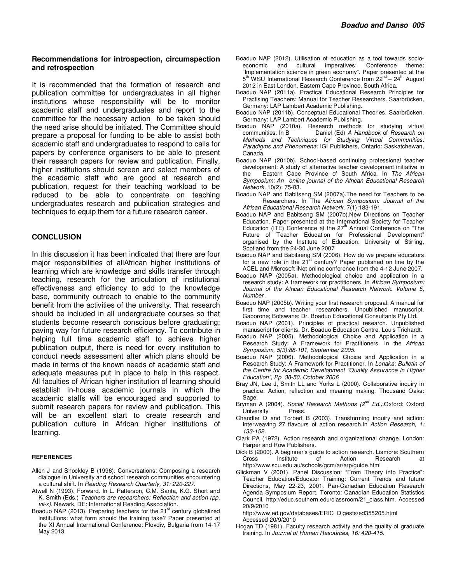#### **Recommendations for introspection, circumspection and retrospection**

It is recommended that the formation of research and publication committee for undergraduates in all higher institutions whose responsibility will be to monitor academic staff and undergraduates and report to the committee for the necessary action to be taken should the need arise should be initiated. The Committee should prepare a proposal for funding to be able to assist both academic staff and undergraduates to respond to calls for papers by conference organisers to be able to present their research papers for review and publication. Finally, higher institutions should screen and select members of the academic staff who are good at research and publication, request for their teaching workload to be reduced to be able to concentrate on teaching undergraduates research and publication strategies and techniques to equip them for a future research career.

#### **CONCLUSION**

In this discussion it has been indicated that there are four major responsibilities of allAfrican higher institutions of learning which are knowledge and skills transfer through teaching, research for the articulation of institutional effectiveness and efficiency to add to the knowledge base, community outreach to enable to the community benefit from the activities of the university. That research should be included in all undergraduate courses so that students become research conscious before graduating; paving way for future research efficiency. To contribute in helping full time academic staff to achieve higher publication output, there is need for every institution to conduct needs assessment after which plans should be made in terms of the known needs of academic staff and adequate measures put in place to help in this respect. All faculties of African higher institution of learning should establish in-house academic journals in which the academic staffs will be encouraged and supported to submit research papers for review and publication. This will be an excellent start to create research and publication culture in African higher institutions of learning.

#### **REFERENCES**

- Allen J and Shockley B (1996). Conversations: Composing a research dialogue in University and school research communities encountering a cultural shift. In *Reading Research Quarterly, 31: 220-227.*
- Atwell N (1993). Forward. In L. Patterson, C.M. Santa, K.G. Short and K. Smith (Eds.) *Teachers are researchers: Reflection and action (pp. vii-x).* Newark, DE: International Reading Association.
- Boaduo NAP (2013). Preparing teachers for the  $21<sup>st</sup>$  century globalized institutions: what form should the training take? Paper presented at the XI Annual International Conference: Plovdiv, Bulgaria from 14-17 May 2013.
- Boaduo NAP (2012). Utilisation of education as a tool towards socioeconomic and cultural imperatives: Conference theme: "Implementation science in green economy". Paper presented at the 5<sup>th</sup> WSU International Research Conference from 22<sup>nd</sup> - 24<sup>th</sup> August 2012 in East London, Eastern Cape Province, South Africa.
- Boaduo NAP (2011a). Practical Educational Research Principles for Practising Teachers: Manual for Teacher Researchers. Saarbrücken, Germany: LAP Lambert Academic Publishing.
- Boaduo NAP (2011b). Conceptual Educational Theories. Saarbrücken, Germany: LAP Lambert Academic Publishing.
- Boaduo NAP (2010a). Research methods for studying virtual<br>Communities In B Daniel (Ed) A Handbook of Research on Daniel (Ed) A Handbook of Research on *Methods and Techniques for Studying Virtual Communities: Paradigms and Phenomena:* IGI Publishers, Ontario: Saskatchewan, Canada.
- Boaduo NAP (2010b). School-based continuing professional teacher development: A study of alternative teacher development initiative in<br>the Fastern Cane Province of South Africa. In The African Eastern Cape Province of South Africa. In *The African Symposium: An online journal of the African Educational Research Network,* 10(2): 75-83.
- Boaduo NAP and Babitseng SM (2007a).The need for Teachers to be Researchers. In The *African Symposium: Journal of the African Educational Research Network.* 7(1):183-191.
- Boaduo NAP and Babitseng SM (2007b).New Directions on Teacher Education. Paper presented at the International Society for Teacher Education (ITE) Conference at the  $27<sup>th</sup>$  Annual Conference on "The Future of Teacher Education for Professional Development" organised by the Institute of Education: University of Stirling, Scotland from the 24-30 June 2007
- Boaduo NAP and Babitseng SM (2006). How do we prepare educators for a new role in the 21<sup>st</sup> century? Paper published on line by the ACEL and Microsoft iNet online conference from the 4-12 June 2007.
- Boaduo NAP (2005a). Methodological choice and application in a research study: A framework for practitioners. In *African Symposium: Journal of the African Educational Research Network. Volume 5, Number .*
- Boaduo NAP (2005b). Writing your first research proposal: A manual for first time and teacher researchers. Unpublished manuscript. Gaborone; Botswana: Dr. Boaduo Educational Consultants Pty Ltd.
- Boaduo NAP (2001). Principles of practical research. Unpublished manuscript for clients. Dr. Boaduo Education Centre. Louis Trichardt.
- Boaduo NAP (2005). Methodological Choice and Application in a Research Study: A Framework for Practitioners. In the *African Symposium, 5(3):88-101, September 2005.*
- Boaduo NAP (2006). Methodological Choice and Application in a Research Study: A Framework for Practitioner. In *Lonaka: Bulletin of the Centre for Academic Development "Quality Assurance in Higher Education", Pp. 38-50. October 2006*
- Bray JN, Lee J, Smith LL and Yorks L (2000). Collaborative inquiry in practice: Action, reflection and meaning making. Thousand Oaks: Sage.
- Bryman A (2004). *Social Research Methods (2nd Ed.).*Oxford: Oxford University Press.
- Chandler D and Torbert B (2003). Transforming inquiry and action: Interweaving 27 flavours of action research.In *Action Research, 1: 133-152.*
- Clark PA (1972). Action research and organizational change. London: Harper and Row Publishers.
- Dick B (2000). A beginner's guide to action research. Lismore: Southern Cross Institute of Action Research at http://www.scu.edu.au/schools/gcm/ar/arp/guide.html
- Glickman V (2001). Panel Discussion: "From Theory into Practice": Teacher Education/Educator Training: Current Trends and future Directions, May 22-23, 2001. Pan-Canadian Education Research Agenda Symposium Report. Toronto: Canadian Education Statistics Council. http://educ.southern.edu/classroom/21\_class.htm. Accessed 20/9/2010

http://www.ed.gov/databases/ERIC\_Digests/ed355205.html Accessed 20/9/2010

Hogan TD (1981). Faculty research activity and the quality of graduate training. In *Journal of Human Resources, 16: 420-415.*